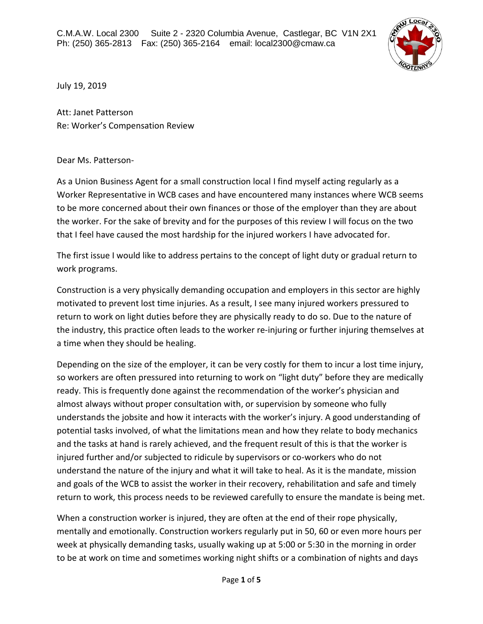

July 19, 2019

Att: Janet Patterson Re: Worker's Compensation Review

## Dear Ms. Patterson-

As a Union Business Agent for a small construction local I find myself acting regularly as a Worker Representative in WCB cases and have encountered many instances where WCB seems to be more concerned about their own finances or those of the employer than they are about the worker. For the sake of brevity and for the purposes of this review I will focus on the two that I feel have caused the most hardship for the injured workers I have advocated for.

The first issue I would like to address pertains to the concept of light duty or gradual return to work programs.

Construction is a very physically demanding occupation and employers in this sector are highly motivated to prevent lost time injuries. As a result, I see many injured workers pressured to return to work on light duties before they are physically ready to do so. Due to the nature of the industry, this practice often leads to the worker re-injuring or further injuring themselves at a time when they should be healing.

Depending on the size of the employer, it can be very costly for them to incur a lost time injury, so workers are often pressured into returning to work on "light duty" before they are medically ready. This is frequently done against the recommendation of the worker's physician and almost always without proper consultation with, or supervision by someone who fully understands the jobsite and how it interacts with the worker's injury. A good understanding of potential tasks involved, of what the limitations mean and how they relate to body mechanics and the tasks at hand is rarely achieved, and the frequent result of this is that the worker is injured further and/or subjected to ridicule by supervisors or co-workers who do not understand the nature of the injury and what it will take to heal. As it is the mandate, mission and goals of the WCB to assist the worker in their recovery, rehabilitation and safe and timely return to work, this process needs to be reviewed carefully to ensure the mandate is being met.

When a construction worker is injured, they are often at the end of their rope physically, mentally and emotionally. Construction workers regularly put in 50, 60 or even more hours per week at physically demanding tasks, usually waking up at 5:00 or 5:30 in the morning in order to be at work on time and sometimes working night shifts or a combination of nights and days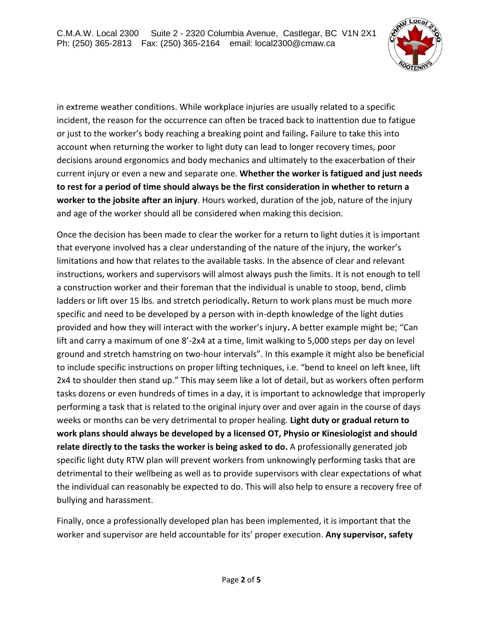

in extreme weather conditions. While workplace injuries are usually related to a specific incident, the reason for the occurrence can often be traced back to inattention due to fatigue or just to the worker's body reaching a breaking point and failing**.** Failure to take this into account when returning the worker to light duty can lead to longer recovery times, poor decisions around ergonomics and body mechanics and ultimately to the exacerbation of their current injury or even a new and separate one. **Whether the worker is fatigued and just needs to rest for a period of time should always be the first consideration in whether to return a worker to the jobsite after an injury**. Hours worked, duration of the job, nature of the injury and age of the worker should all be considered when making this decision.

Once the decision has been made to clear the worker for a return to light duties it is important that everyone involved has a clear understanding of the nature of the injury, the worker's limitations and how that relates to the available tasks. In the absence of clear and relevant instructions, workers and supervisors will almost always push the limits. It is not enough to tell a construction worker and their foreman that the individual is unable to stoop, bend, climb ladders or lift over 15 lbs. and stretch periodically**.** Return to work plans must be much more specific and need to be developed by a person with in-depth knowledge of the light duties provided and how they will interact with the worker's injury**.** A better example might be; "Can lift and carry a maximum of one 8'-2x4 at a time, limit walking to 5,000 steps per day on level ground and stretch hamstring on two-hour intervals". In this example it might also be beneficial to include specific instructions on proper lifting techniques, i.e. "bend to kneel on left knee, lift 2x4 to shoulder then stand up." This may seem like a lot of detail, but as workers often perform tasks dozens or even hundreds of times in a day, it is important to acknowledge that improperly performing a task that is related to the original injury over and over again in the course of days weeks or months can be very detrimental to proper healing. **Light duty or gradual return to work plans should always be developed by a licensed OT, Physio or Kinesiologist and should relate directly to the tasks the worker is being asked to do.** A professionally generated job specific light duty RTW plan will prevent workers from unknowingly performing tasks that are detrimental to their wellbeing as well as to provide supervisors with clear expectations of what the individual can reasonably be expected to do. This will also help to ensure a recovery free of bullying and harassment.

Finally, once a professionally developed plan has been implemented, it is important that the worker and supervisor are held accountable for its' proper execution. **Any supervisor, safety**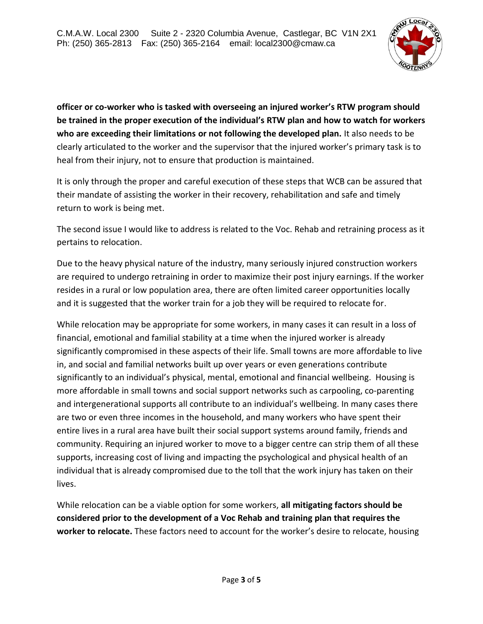

**officer or co-worker who is tasked with overseeing an injured worker's RTW program should be trained in the proper execution of the individual's RTW plan and how to watch for workers who are exceeding their limitations or not following the developed plan.** It also needs to be clearly articulated to the worker and the supervisor that the injured worker's primary task is to heal from their injury, not to ensure that production is maintained.

It is only through the proper and careful execution of these steps that WCB can be assured that their mandate of assisting the worker in their recovery, rehabilitation and safe and timely return to work is being met.

The second issue I would like to address is related to the Voc. Rehab and retraining process as it pertains to relocation.

Due to the heavy physical nature of the industry, many seriously injured construction workers are required to undergo retraining in order to maximize their post injury earnings. If the worker resides in a rural or low population area, there are often limited career opportunities locally and it is suggested that the worker train for a job they will be required to relocate for.

While relocation may be appropriate for some workers, in many cases it can result in a loss of financial, emotional and familial stability at a time when the injured worker is already significantly compromised in these aspects of their life. Small towns are more affordable to live in, and social and familial networks built up over years or even generations contribute significantly to an individual's physical, mental, emotional and financial wellbeing. Housing is more affordable in small towns and social support networks such as carpooling, co-parenting and intergenerational supports all contribute to an individual's wellbeing. In many cases there are two or even three incomes in the household, and many workers who have spent their entire lives in a rural area have built their social support systems around family, friends and community. Requiring an injured worker to move to a bigger centre can strip them of all these supports, increasing cost of living and impacting the psychological and physical health of an individual that is already compromised due to the toll that the work injury has taken on their lives.

While relocation can be a viable option for some workers, **all mitigating factors should be considered prior to the development of a Voc Rehab and training plan that requires the worker to relocate.** These factors need to account for the worker's desire to relocate, housing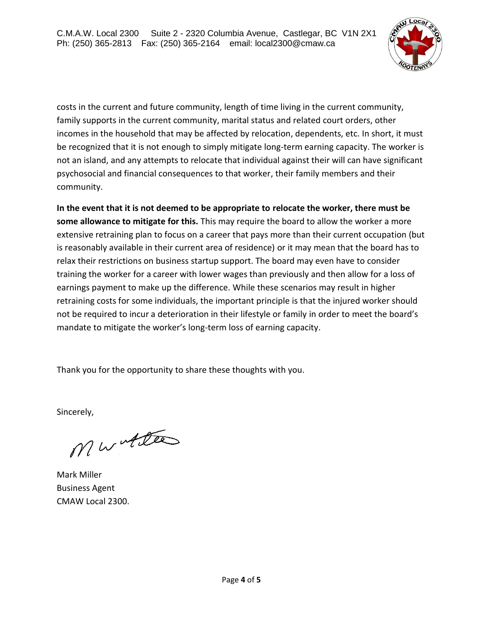

costs in the current and future community, length of time living in the current community, family supports in the current community, marital status and related court orders, other incomes in the household that may be affected by relocation, dependents, etc. In short, it must be recognized that it is not enough to simply mitigate long-term earning capacity. The worker is not an island, and any attempts to relocate that individual against their will can have significant psychosocial and financial consequences to that worker, their family members and their community.

**In the event that it is not deemed to be appropriate to relocate the worker, there must be some allowance to mitigate for this.** This may require the board to allow the worker a more extensive retraining plan to focus on a career that pays more than their current occupation (but is reasonably available in their current area of residence) or it may mean that the board has to relax their restrictions on business startup support. The board may even have to consider training the worker for a career with lower wages than previously and then allow for a loss of earnings payment to make up the difference. While these scenarios may result in higher retraining costs for some individuals, the important principle is that the injured worker should not be required to incur a deterioration in their lifestyle or family in order to meet the board's mandate to mitigate the worker's long-term loss of earning capacity.

Thank you for the opportunity to share these thoughts with you.

Sincerely,

Mwitter

Mark Miller Business Agent CMAW Local 2300.